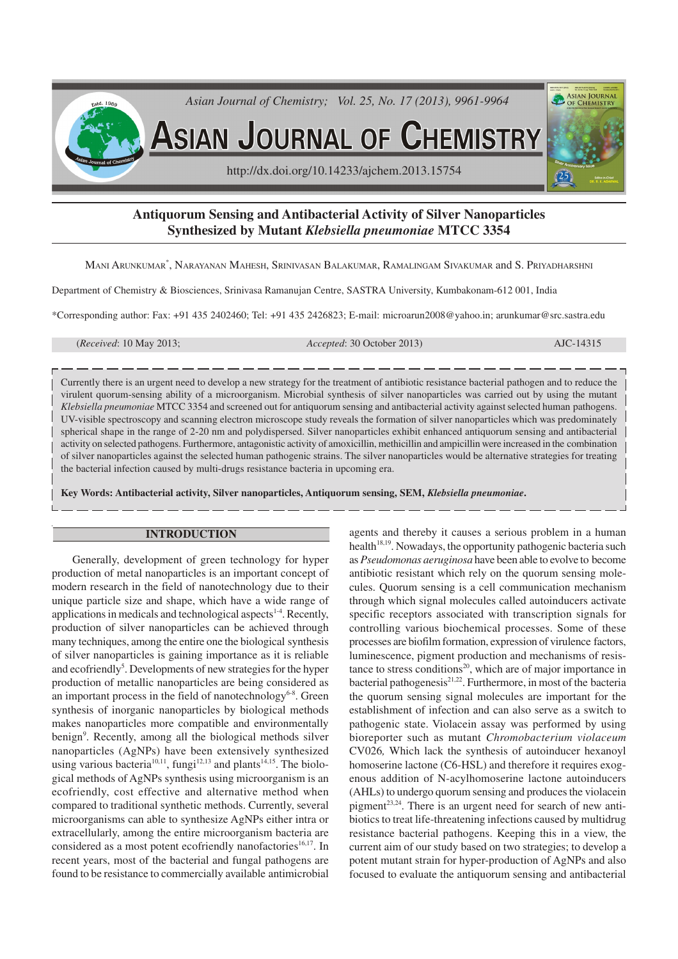

# **Antiquorum Sensing and Antibacterial Activity of Silver Nanoparticles Synthesized by Mutant** *Klebsiella pneumoniae* **MTCC 3354**

MANI ARUNKUMAR\* , NARAYANAN MAHESH, SRINIVASAN BALAKUMAR, RAMALINGAM SIVAKUMAR and S. PRIYADHARSHNI

Department of Chemistry & Biosciences, Srinivasa Ramanujan Centre, SASTRA University, Kumbakonam-612 001, India

\*Corresponding author: Fax: +91 435 2402460; Tel: +91 435 2426823; E-mail: microarun2008@yahoo.in; arunkumar@src.sastra.edu

(*Received*: 10 May 2013; *Accepted*: 30 October 2013) AJC-14315

Currently there is an urgent need to develop a new strategy for the treatment of antibiotic resistance bacterial pathogen and to reduce the virulent quorum-sensing ability of a microorganism. Microbial synthesis of silver nanoparticles was carried out by using the mutant *Klebsiella pneumoniae* MTCC 3354 and screened out for antiquorum sensing and antibacterial activity against selected human pathogens. UV-visible spectroscopy and scanning electron microscope study reveals the formation of silver nanoparticles which was predominately spherical shape in the range of 2-20 nm and polydispersed. Silver nanoparticles exhibit enhanced antiquorum sensing and antibacterial activity on selected pathogens. Furthermore, antagonistic activity of amoxicillin, methicillin and ampicillin were increased in the combination of silver nanoparticles against the selected human pathogenic strains. The silver nanoparticles would be alternative strategies for treating the bacterial infection caused by multi-drugs resistance bacteria in upcoming era.

**Key Words: Antibacterial activity, Silver nanoparticles, Antiquorum sensing, SEM,** *Klebsiella pneumoniae***.**

#### **INTRODUCTION**

Generally, development of green technology for hyper production of metal nanoparticles is an important concept of modern research in the field of nanotechnology due to their unique particle size and shape, which have a wide range of applications in medicals and technological aspects $14$ . Recently, production of silver nanoparticles can be achieved through many techniques, among the entire one the biological synthesis of silver nanoparticles is gaining importance as it is reliable and ecofriendly<sup>5</sup>. Developments of new strategies for the hyper production of metallic nanoparticles are being considered as an important process in the field of nanotechnology $6-8$ . Green synthesis of inorganic nanoparticles by biological methods makes nanoparticles more compatible and environmentally benign<sup>9</sup>. Recently, among all the biological methods silver nanoparticles (AgNPs) have been extensively synthesized using various bacteria<sup>10,11</sup>, fungi<sup>12,13</sup> and plants<sup>14,15</sup>. The biological methods of AgNPs synthesis using microorganism is an ecofriendly, cost effective and alternative method when compared to traditional synthetic methods. Currently, several microorganisms can able to synthesize AgNPs either intra or extracellularly, among the entire microorganism bacteria are considered as a most potent ecofriendly nanofactories<sup>16,17</sup>. In recent years, most of the bacterial and fungal pathogens are found to be resistance to commercially available antimicrobial agents and thereby it causes a serious problem in a human health<sup>18,19</sup>. Nowadays, the opportunity pathogenic bacteria such as *Pseudomonas aeruginosa* have been able to evolve to become antibiotic resistant which rely on the quorum sensing molecules. Quorum sensing is a cell communication mechanism through which signal molecules called autoinducers activate specific receptors associated with transcription signals for controlling various biochemical processes. Some of these processes are biofilm formation, expression of virulence factors, luminescence, pigment production and mechanisms of resistance to stress conditions<sup>20</sup>, which are of major importance in bacterial pathogenesis $2^{1,22}$ . Furthermore, in most of the bacteria the quorum sensing signal molecules are important for the establishment of infection and can also serve as a switch to pathogenic state. Violacein assay was performed by using bioreporter such as mutant *Chromobacterium violaceum* CV026*,* Which lack the synthesis of autoinducer hexanoyl homoserine lactone (C6-HSL) and therefore it requires exogenous addition of N-acylhomoserine lactone autoinducers (AHLs) to undergo quorum sensing and produces the violacein pigment<sup>23,24</sup>. There is an urgent need for search of new antibiotics to treat life-threatening infections caused by multidrug resistance bacterial pathogens. Keeping this in a view, the current aim of our study based on two strategies; to develop a potent mutant strain for hyper-production of AgNPs and also focused to evaluate the antiquorum sensing and antibacterial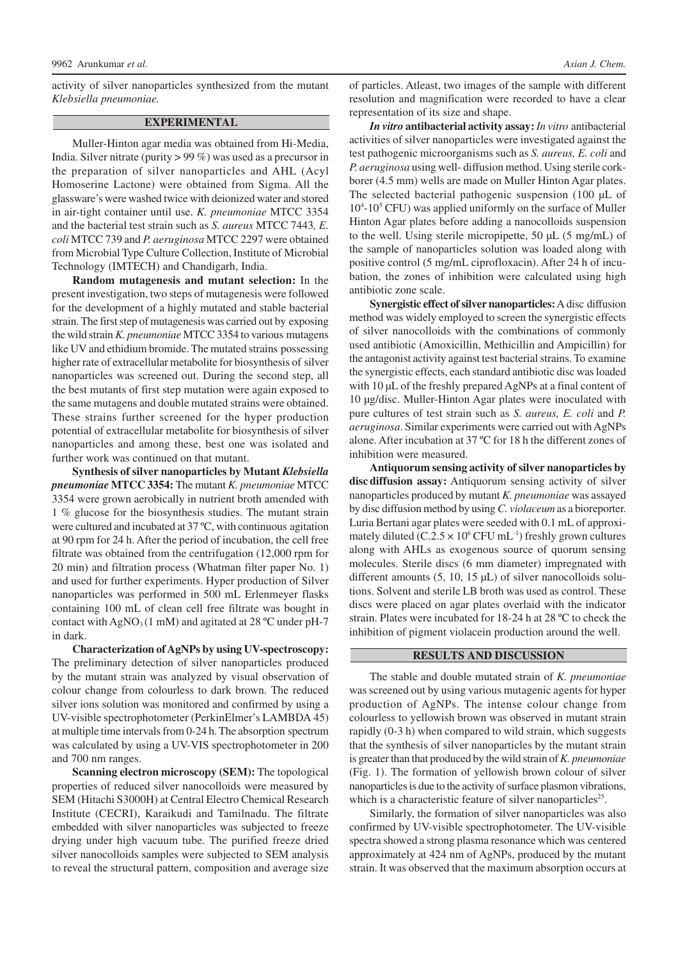activity of silver nanoparticles synthesized from the mutant *Klebsiella pneumoniae.*

### **EXPERIMENTAL**

Muller-Hinton agar media was obtained from Hi-Media, India. Silver nitrate (purity > 99 %) was used as a precursor in the preparation of silver nanoparticles and AHL (Acyl Homoserine Lactone) were obtained from Sigma. All the glassware's were washed twice with deionized water and stored in air-tight container until use. *K. pneumoniae* MTCC 3354 and the bacterial test strain such as *S. aureus* MTCC 7443*, E. coli* MTCC 739 and *P. aeruginosa* MTCC 2297 were obtained from Microbial Type Culture Collection, Institute of Microbial Technology (IMTECH) and Chandigarh, India.

**Random mutagenesis and mutant selection:** In the present investigation, two steps of mutagenesis were followed for the development of a highly mutated and stable bacterial strain. The first step of mutagenesis was carried out by exposing the wild strain *K. pneumoniae* MTCC 3354 to various mutagens like UV and ethidium bromide. The mutated strains possessing higher rate of extracellular metabolite for biosynthesis of silver nanoparticles was screened out. During the second step, all the best mutants of first step mutation were again exposed to the same mutagens and double mutated strains were obtained. These strains further screened for the hyper production potential of extracellular metabolite for biosynthesis of silver nanoparticles and among these, best one was isolated and further work was continued on that mutant.

**Synthesis of silver nanoparticles by Mutant** *Klebsiella pneumoniae* **MTCC 3354:** The mutant *K. pneumoniae* MTCC 3354 were grown aerobically in nutrient broth amended with 1 % glucose for the biosynthesis studies. The mutant strain were cultured and incubated at 37 ºC, with continuous agitation at 90 rpm for 24 h. After the period of incubation, the cell free filtrate was obtained from the centrifugation (12,000 rpm for 20 min) and filtration process (Whatman filter paper No. 1) and used for further experiments. Hyper production of Silver nanoparticles was performed in 500 mL Erlenmeyer flasks containing 100 mL of clean cell free filtrate was bought in contact with  $AgNO<sub>3</sub>(1 \text{ mM})$  and agitated at 28 °C under pH-7 in dark.

**Characterization of AgNPs by using UV-spectroscopy:** The preliminary detection of silver nanoparticles produced by the mutant strain was analyzed by visual observation of colour change from colourless to dark brown. The reduced silver ions solution was monitored and confirmed by using a UV-visible spectrophotometer (PerkinElmer's LAMBDA 45) at multiple time intervals from 0-24 h. The absorption spectrum was calculated by using a UV-VIS spectrophotometer in 200 and 700 nm ranges.

**Scanning electron microscopy (SEM):** The topological properties of reduced silver nanocolloids were measured by SEM (Hitachi S3000H) at Central Electro Chemical Research Institute (CECRI), Karaikudi and Tamilnadu. The filtrate embedded with silver nanoparticles was subjected to freeze drying under high vacuum tube. The purified freeze dried silver nanocolloids samples were subjected to SEM analysis to reveal the structural pattern, composition and average size

of particles. Atleast, two images of the sample with different resolution and magnification were recorded to have a clear representation of its size and shape.

*In vitro* **antibacterial activity assay:** *In vitro* antibacterial activities of silver nanoparticles were investigated against the test pathogenic microorganisms such as *S. aureus, E. coli* and *P. aeruginosa* using well- diffusion method. Using sterile corkborer (4.5 mm) wells are made on Muller Hinton Agar plates. The selected bacterial pathogenic suspension (100 µL of 10<sup>4</sup>-10<sup>5</sup> CFU) was applied uniformly on the surface of Muller Hinton Agar plates before adding a nanocolloids suspension to the well. Using sterile micropipette, 50 µL (5 mg/mL) of the sample of nanoparticles solution was loaded along with positive control (5 mg/mL ciprofloxacin). After 24 h of incubation, the zones of inhibition were calculated using high antibiotic zone scale.

**Synergistic effect of silver nanoparticles:**A disc diffusion method was widely employed to screen the synergistic effects of silver nanocolloids with the combinations of commonly used antibiotic (Amoxicillin, Methicillin and Ampicillin) for the antagonist activity against test bacterial strains. To examine the synergistic effects, each standard antibiotic disc was loaded with 10  $\mu$ L of the freshly prepared AgNPs at a final content of 10 µg/disc. Muller-Hinton Agar plates were inoculated with pure cultures of test strain such as *S. aureus, E. coli* and *P. aeruginosa*. Similar experiments were carried out with AgNPs alone. After incubation at 37 ºC for 18 h the different zones of inhibition were measured.

**Antiquorum sensing activity of silver nanoparticles by discdiffusion assay:** Antiquorum sensing activity of silver nanoparticles produced by mutant *K. pneumoniae* was assayed by disc diffusion method by using *C. violaceum* as a bioreporter. Luria Bertani agar plates were seeded with 0.1 mL of approximately diluted (C.2.5  $\times$  10<sup>6</sup> CFU mL<sup>-1</sup>) freshly grown cultures along with AHLs as exogenous source of quorum sensing molecules. Sterile discs (6 mm diameter) impregnated with different amounts (5, 10, 15 µL) of silver nanocolloids solutions. Solvent and sterile LB broth was used as control. These discs were placed on agar plates overlaid with the indicator strain. Plates were incubated for 18-24 h at 28 ºC to check the inhibition of pigment violacein production around the well.

# **RESULTS AND DISCUSSION**

The stable and double mutated strain of *K. pneumoniae* was screened out by using various mutagenic agents for hyper production of AgNPs. The intense colour change from colourless to yellowish brown was observed in mutant strain rapidly (0-3 h) when compared to wild strain, which suggests that the synthesis of silver nanoparticles by the mutant strain is greater than that produced by the wild strain of *K. pneumoniae* (Fig. 1). The formation of yellowish brown colour of silver nanoparticles is due to the activity of surface plasmon vibrations, which is a characteristic feature of silver nanoparticles<sup>25</sup>.

Similarly, the formation of silver nanoparticles was also confirmed by UV-visible spectrophotometer. The UV-visible spectra showed a strong plasma resonance which was centered approximately at 424 nm of AgNPs, produced by the mutant strain. It was observed that the maximum absorption occurs at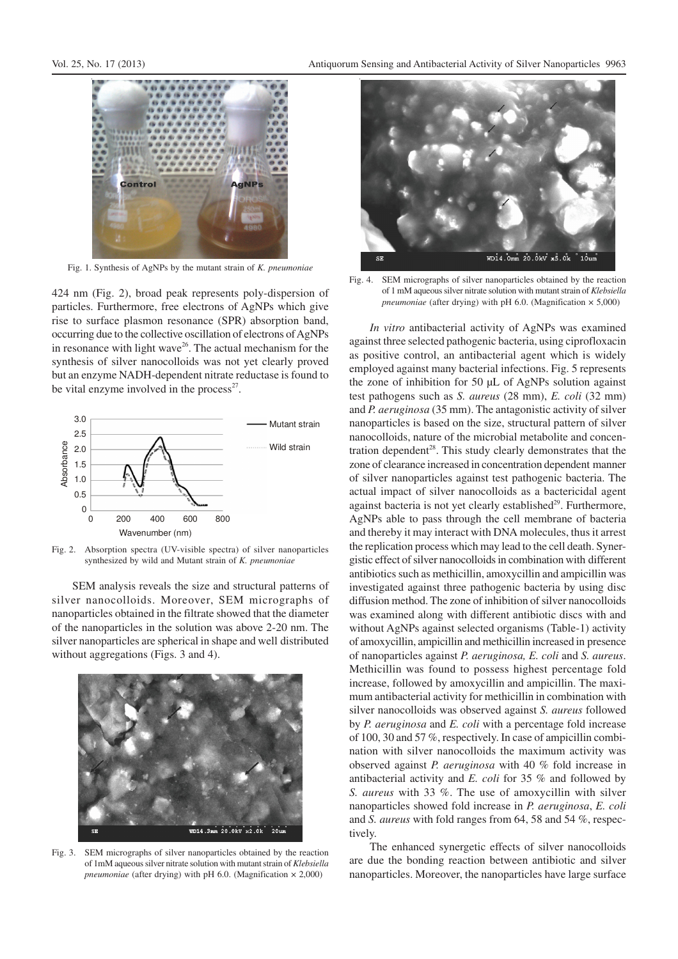

Fig. 1. Synthesis of AgNPs by the mutant strain of *K. pneumoniae*

424 nm (Fig. 2), broad peak represents poly-dispersion of particles. Furthermore, free electrons of AgNPs which give rise to surface plasmon resonance (SPR) absorption band, occurring due to the collective oscillation of electrons of AgNPs in resonance with light wave $26$ . The actual mechanism for the synthesis of silver nanocolloids was not yet clearly proved but an enzyme NADH-dependent nitrate reductase is found to be vital enzyme involved in the process $2^7$ .



Fig. 2. Absorption spectra (UV-visible spectra) of silver nanoparticles synthesized by wild and Mutant strain of *K. pneumoniae*

SEM analysis reveals the size and structural patterns of silver nanocolloids. Moreover, SEM micrographs of nanoparticles obtained in the filtrate showed that the diameter of the nanoparticles in the solution was above 2-20 nm. The silver nanoparticles are spherical in shape and well distributed without aggregations (Figs. 3 and 4).



Fig. 3. SEM micrographs of silver nanoparticles obtained by the reaction of 1mM aqueous silver nitrate solution with mutant strain of *Klebsiella pneumoniae* (after drying) with pH 6.0. (Magnification × 2,000)



Fig. 4. SEM micrographs of silver nanoparticles obtained by the reaction of 1 mM aqueous silver nitrate solution with mutant strain of *Klebsiella pneumoniae* (after drying) with pH 6.0. (Magnification × 5,000)

*In vitro* antibacterial activity of AgNPs was examined against three selected pathogenic bacteria, using ciprofloxacin as positive control, an antibacterial agent which is widely employed against many bacterial infections. Fig. 5 represents the zone of inhibition for 50 µL of AgNPs solution against test pathogens such as *S. aureus* (28 mm), *E. coli* (32 mm) and *P. aeruginosa* (35 mm). The antagonistic activity of silver nanoparticles is based on the size, structural pattern of silver nanocolloids, nature of the microbial metabolite and concentration dependent<sup>28</sup>. This study clearly demonstrates that the zone of clearance increased in concentration dependent manner of silver nanoparticles against test pathogenic bacteria. The actual impact of silver nanocolloids as a bactericidal agent against bacteria is not yet clearly established<sup>29</sup>. Furthermore, AgNPs able to pass through the cell membrane of bacteria and thereby it may interact with DNA molecules, thus it arrest the replication process which may lead to the cell death. Synergistic effect of silver nanocolloids in combination with different antibiotics such as methicillin, amoxycillin and ampicillin was investigated against three pathogenic bacteria by using disc diffusion method. The zone of inhibition of silver nanocolloids was examined along with different antibiotic discs with and without AgNPs against selected organisms (Table-1) activity of amoxycillin, ampicillin and methicillin increased in presence of nanoparticles against *P. aeruginosa, E. coli* and *S. aureus*. Methicillin was found to possess highest percentage fold increase, followed by amoxycillin and ampicillin. The maximum antibacterial activity for methicillin in combination with silver nanocolloids was observed against *S. aureus* followed by *P. aeruginosa* and *E. coli* with a percentage fold increase of 100, 30 and 57 %, respectively. In case of ampicillin combination with silver nanocolloids the maximum activity was observed against *P. aeruginosa* with 40 % fold increase in antibacterial activity and *E. coli* for 35 % and followed by *S. aureus* with 33 %. The use of amoxycillin with silver nanoparticles showed fold increase in *P. aeruginosa*, *E. coli* and *S. aureus* with fold ranges from 64, 58 and 54 %, respectively.

The enhanced synergetic effects of silver nanocolloids are due the bonding reaction between antibiotic and silver nanoparticles. Moreover, the nanoparticles have large surface